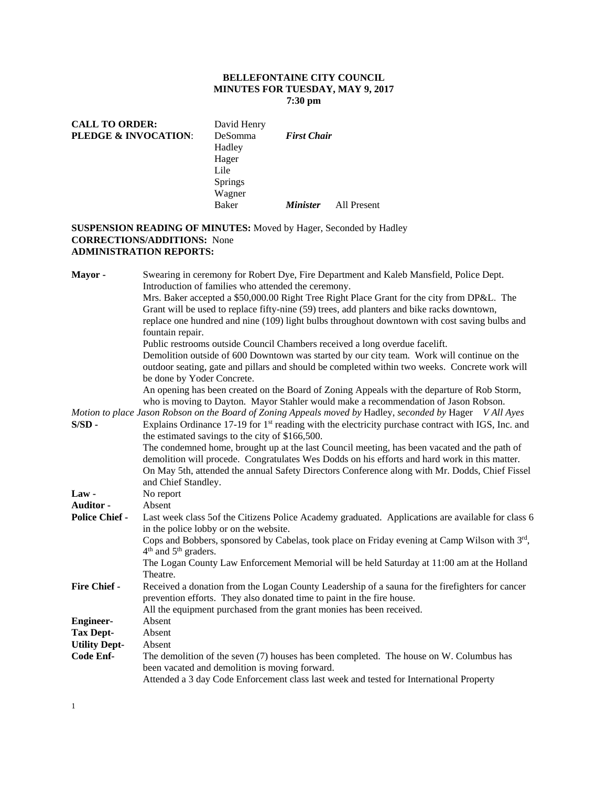## **BELLEFONTAINE CITY COUNCIL MINUTES FOR TUESDAY, MAY 9, 2017 7:30 pm**

| <b>CALL TO ORDER:</b>           | David Henry    |                    |             |
|---------------------------------|----------------|--------------------|-------------|
| <b>PLEDGE &amp; INVOCATION:</b> | <b>DeSomma</b> | <b>First Chair</b> |             |
|                                 | Hadley         |                    |             |
|                                 | Hager          |                    |             |
|                                 | Lile           |                    |             |
|                                 | <b>Springs</b> |                    |             |
|                                 | Wagner         |                    |             |
|                                 | <b>Baker</b>   | <i>Minister</i>    | All Present |
|                                 |                |                    |             |

# **SUSPENSION READING OF MINUTES:** Moved by Hager, Seconded by Hadley **CORRECTIONS/ADDITIONS:** None **ADMINISTRATION REPORTS:**

| Mayor-                | Swearing in ceremony for Robert Dye, Fire Department and Kaleb Mansfield, Police Dept.<br>Introduction of families who attended the ceremony.                             |  |  |  |  |
|-----------------------|---------------------------------------------------------------------------------------------------------------------------------------------------------------------------|--|--|--|--|
|                       | Mrs. Baker accepted a \$50,000.00 Right Tree Right Place Grant for the city from DP&L. The                                                                                |  |  |  |  |
|                       | Grant will be used to replace fifty-nine (59) trees, add planters and bike racks downtown,                                                                                |  |  |  |  |
|                       | replace one hundred and nine (109) light bulbs throughout downtown with cost saving bulbs and                                                                             |  |  |  |  |
|                       | fountain repair.                                                                                                                                                          |  |  |  |  |
|                       | Public restrooms outside Council Chambers received a long overdue facelift.                                                                                               |  |  |  |  |
|                       | Demolition outside of 600 Downtown was started by our city team. Work will continue on the                                                                                |  |  |  |  |
|                       | outdoor seating, gate and pillars and should be completed within two weeks. Concrete work will<br>be done by Yoder Concrete.                                              |  |  |  |  |
|                       | An opening has been created on the Board of Zoning Appeals with the departure of Rob Storm,                                                                               |  |  |  |  |
|                       | who is moving to Dayton. Mayor Stahler would make a recommendation of Jason Robson.                                                                                       |  |  |  |  |
|                       | Motion to place Jason Robson on the Board of Zoning Appeals moved by Hadley, seconded by Hager V All Ayes                                                                 |  |  |  |  |
| $S/SD -$              | Explains Ordinance $17-19$ for $1st$ reading with the electricity purchase contract with IGS, Inc. and                                                                    |  |  |  |  |
|                       | the estimated savings to the city of \$166,500.                                                                                                                           |  |  |  |  |
|                       | The condemned home, brought up at the last Council meeting, has been vacated and the path of                                                                              |  |  |  |  |
|                       | demolition will procede. Congratulates Wes Dodds on his efforts and hard work in this matter.                                                                             |  |  |  |  |
|                       | On May 5th, attended the annual Safety Directors Conference along with Mr. Dodds, Chief Fissel                                                                            |  |  |  |  |
|                       | and Chief Standley.                                                                                                                                                       |  |  |  |  |
| Law-                  | No report                                                                                                                                                                 |  |  |  |  |
| Auditor -             | Absent                                                                                                                                                                    |  |  |  |  |
| <b>Police Chief -</b> | Last week class 5of the Citizens Police Academy graduated. Applications are available for class 6<br>in the police lobby or on the website.                               |  |  |  |  |
|                       | Cops and Bobbers, sponsored by Cabelas, took place on Friday evening at Camp Wilson with 3rd,<br>4 <sup>th</sup> and 5 <sup>th</sup> graders.                             |  |  |  |  |
|                       | The Logan County Law Enforcement Memorial will be held Saturday at 11:00 am at the Holland                                                                                |  |  |  |  |
|                       | Theatre.                                                                                                                                                                  |  |  |  |  |
| <b>Fire Chief -</b>   | Received a donation from the Logan County Leadership of a sauna for the firefighters for cancer<br>prevention efforts. They also donated time to paint in the fire house. |  |  |  |  |
|                       | All the equipment purchased from the grant monies has been received.                                                                                                      |  |  |  |  |
| <b>Engineer-</b>      | Absent                                                                                                                                                                    |  |  |  |  |
| <b>Tax Dept-</b>      | Absent                                                                                                                                                                    |  |  |  |  |
| <b>Utility Dept-</b>  | Absent                                                                                                                                                                    |  |  |  |  |
| <b>Code Enf-</b>      | The demolition of the seven (7) houses has been completed. The house on W. Columbus has<br>been vacated and demolition is moving forward.                                 |  |  |  |  |
|                       | Attended a 3 day Code Enforcement class last week and tested for International Property                                                                                   |  |  |  |  |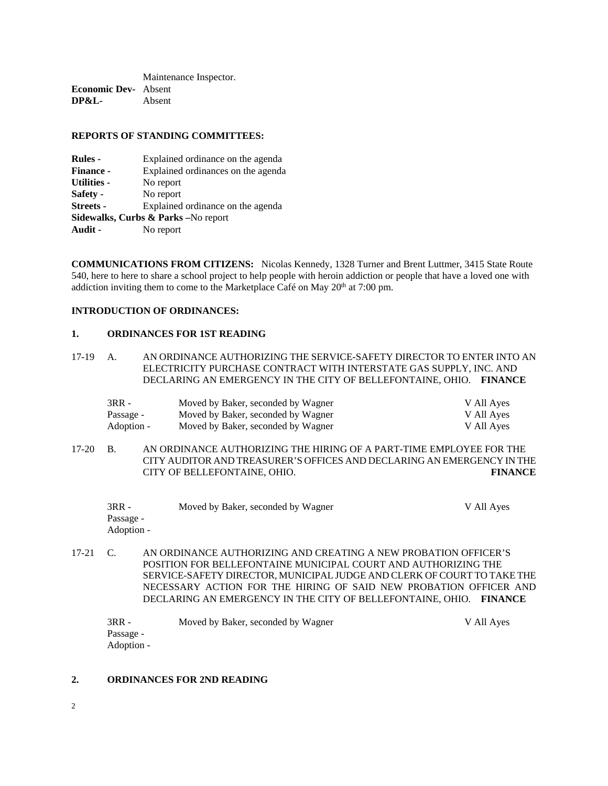Maintenance Inspector. **Economic Dev-** Absent **DP&L-** Absent

#### **REPORTS OF STANDING COMMITTEES:**

| <b>Rules</b> -                       | Explained ordinance on the agenda  |  |  |  |
|--------------------------------------|------------------------------------|--|--|--|
| <b>Finance -</b>                     | Explained ordinances on the agenda |  |  |  |
| <b>Utilities -</b>                   | No report                          |  |  |  |
| Safety -                             | No report                          |  |  |  |
| <b>Streets -</b>                     | Explained ordinance on the agenda  |  |  |  |
| Sidewalks, Curbs & Parks - No report |                                    |  |  |  |
| Audit -                              | No report                          |  |  |  |

**COMMUNICATIONS FROM CITIZENS:** Nicolas Kennedy, 1328 Turner and Brent Luttmer, 3415 State Route 540, here to here to share a school project to help people with heroin addiction or people that have a loved one with addiction inviting them to come to the Marketplace Café on May 20<sup>th</sup> at 7:00 pm.

### **INTRODUCTION OF ORDINANCES:**

### **1. ORDINANCES FOR 1ST READING**

17-19 A. AN ORDINANCE AUTHORIZING THE SERVICE-SAFETY DIRECTOR TO ENTER INTO AN ELECTRICITY PURCHASE CONTRACT WITH INTERSTATE GAS SUPPLY, INC. AND DECLARING AN EMERGENCY IN THE CITY OF BELLEFONTAINE, OHIO. **FINANCE** 

| 3RR -      | Moved by Baker, seconded by Wagner | V All Ayes |
|------------|------------------------------------|------------|
| Passage -  | Moved by Baker, seconded by Wagner | V All Aves |
| Adoption - | Moved by Baker, seconded by Wagner | V All Ayes |

17-20 B. AN ORDINANCE AUTHORIZING THE HIRING OF A PART-TIME EMPLOYEE FOR THE CITY AUDITOR AND TREASURER'S OFFICES AND DECLARING AN EMERGENCY IN THE CITY OF BELLEFONTAINE, OHIO. **FINANCE**

| $3RR -$    | Moved by Baker, seconded by Wagner | V All Ayes |
|------------|------------------------------------|------------|
| Passage -  |                                    |            |
| Adoption - |                                    |            |

17-21 C. AN ORDINANCE AUTHORIZING AND CREATING A NEW PROBATION OFFICER'S POSITION FOR BELLEFONTAINE MUNICIPAL COURT AND AUTHORIZING THE SERVICE-SAFETY DIRECTOR, MUNICIPAL JUDGE AND CLERK OF COURT TO TAKE THE NECESSARY ACTION FOR THE HIRING OF SAID NEW PROBATION OFFICER AND DECLARING AN EMERGENCY IN THE CITY OF BELLEFONTAINE, OHIO. **FINANCE** 

| $3RR -$    | Moved by Baker, seconded by Wagner | V All Aves |
|------------|------------------------------------|------------|
| Passage -  |                                    |            |
| Adoption - |                                    |            |

### **2. ORDINANCES FOR 2ND READING**

2